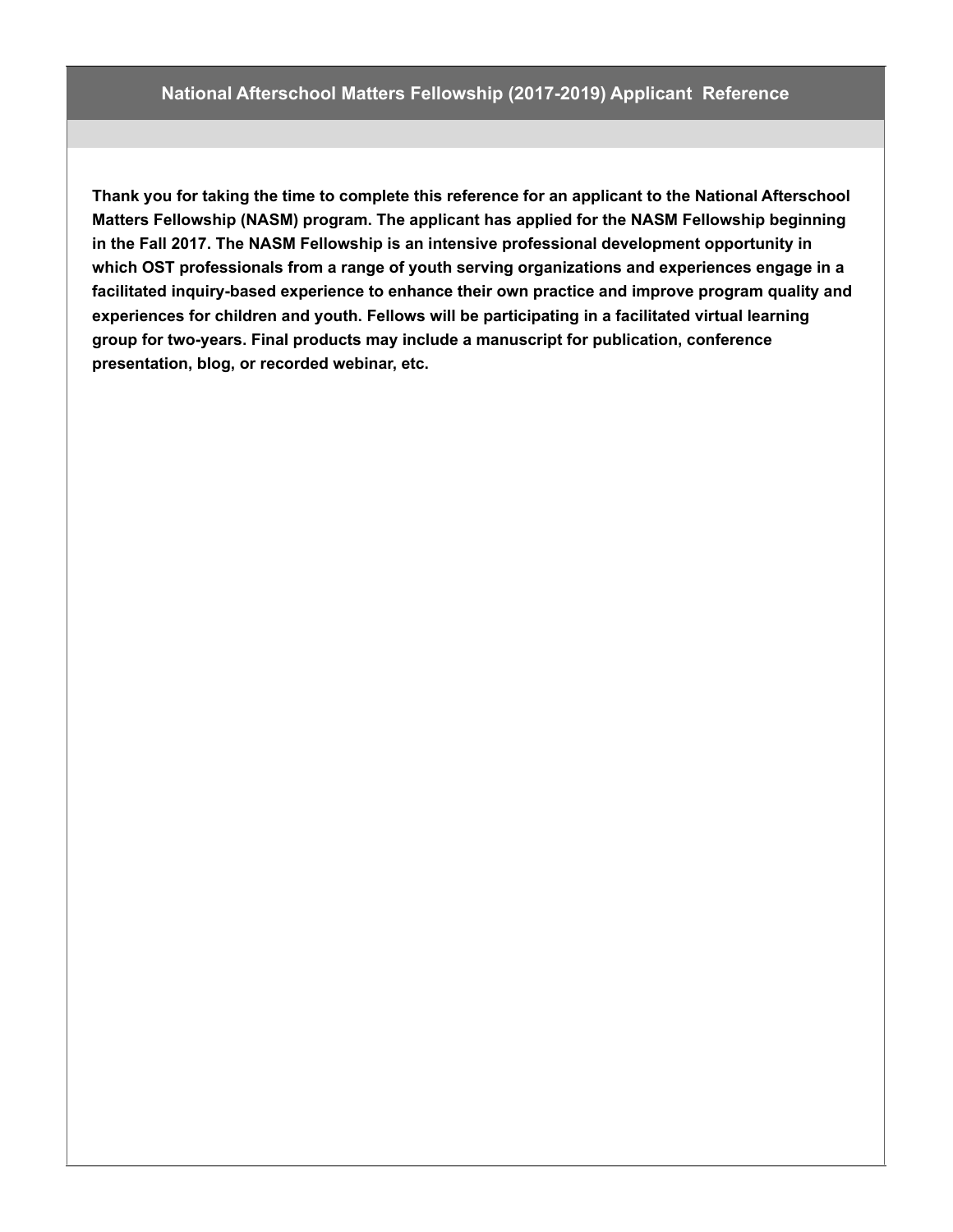**Thank you for taking the time to complete this reference for an applicant to the National Afterschool Matters Fellowship (NASM) program. The applicant has applied for the NASM Fellowship beginning in the Fall 2017. The NASM Fellowship is an intensive professional development opportunity in which OST professionals from a range of youth serving organizations and experiences engage in a facilitated inquiry-based experience to enhance their own practice and improve program quality and experiences for children and youth. Fellows will be participating in a facilitated virtual learning group for two-years. Final products may include a manuscript for publication, conference presentation, blog, or recorded webinar, etc.**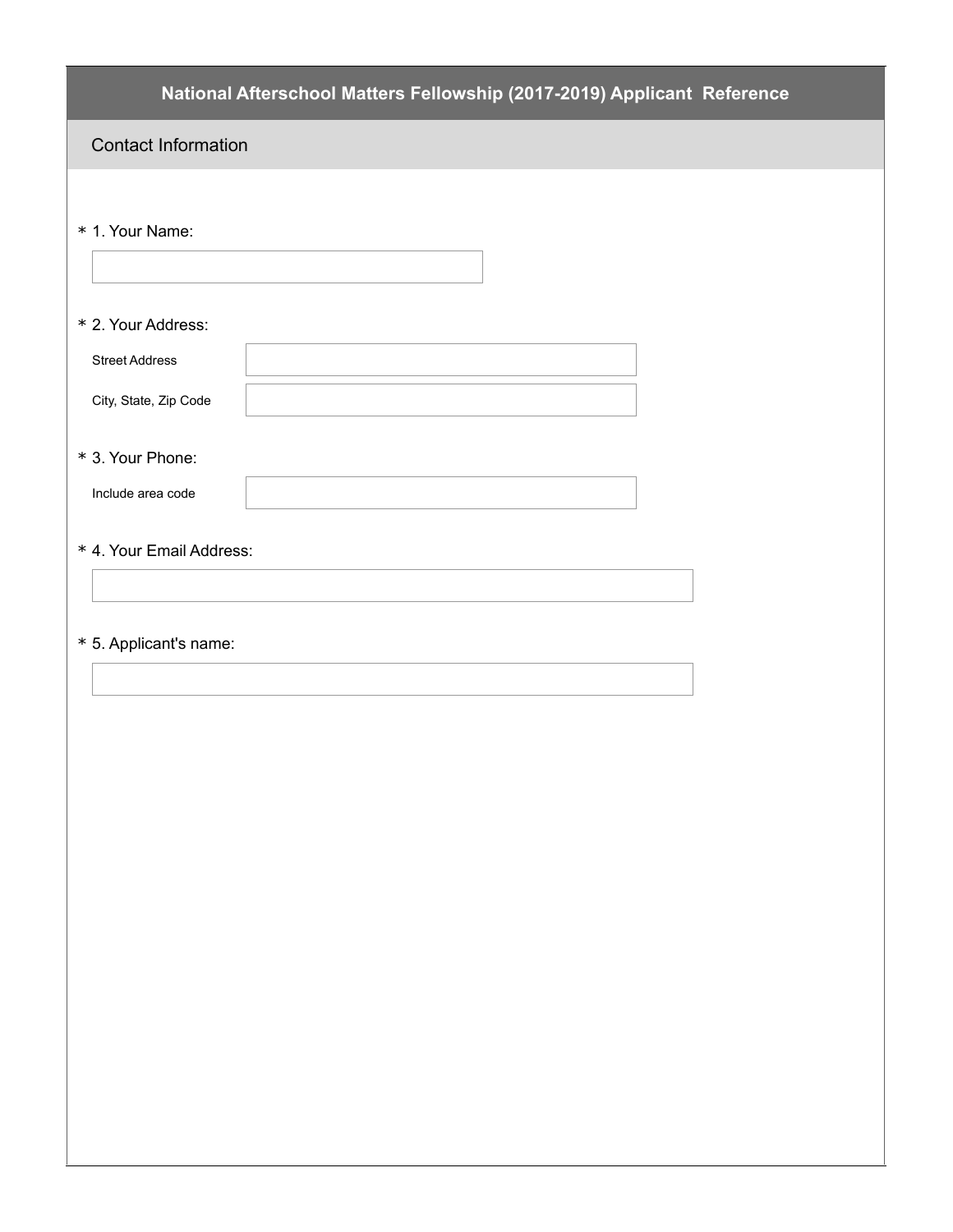| National Afterschool Matters Fellowship (2017-2019) Applicant Reference |
|-------------------------------------------------------------------------|
| <b>Contact Information</b>                                              |
|                                                                         |
| * 1. Your Name:                                                         |
|                                                                         |
| * 2. Your Address:                                                      |
| <b>Street Address</b>                                                   |
| City, State, Zip Code                                                   |
| * 3. Your Phone:                                                        |
| Include area code                                                       |
| * 4. Your Email Address:                                                |
|                                                                         |
| * 5. Applicant's name:                                                  |
|                                                                         |
|                                                                         |
|                                                                         |
|                                                                         |
|                                                                         |
|                                                                         |
|                                                                         |
|                                                                         |
|                                                                         |
|                                                                         |
|                                                                         |
|                                                                         |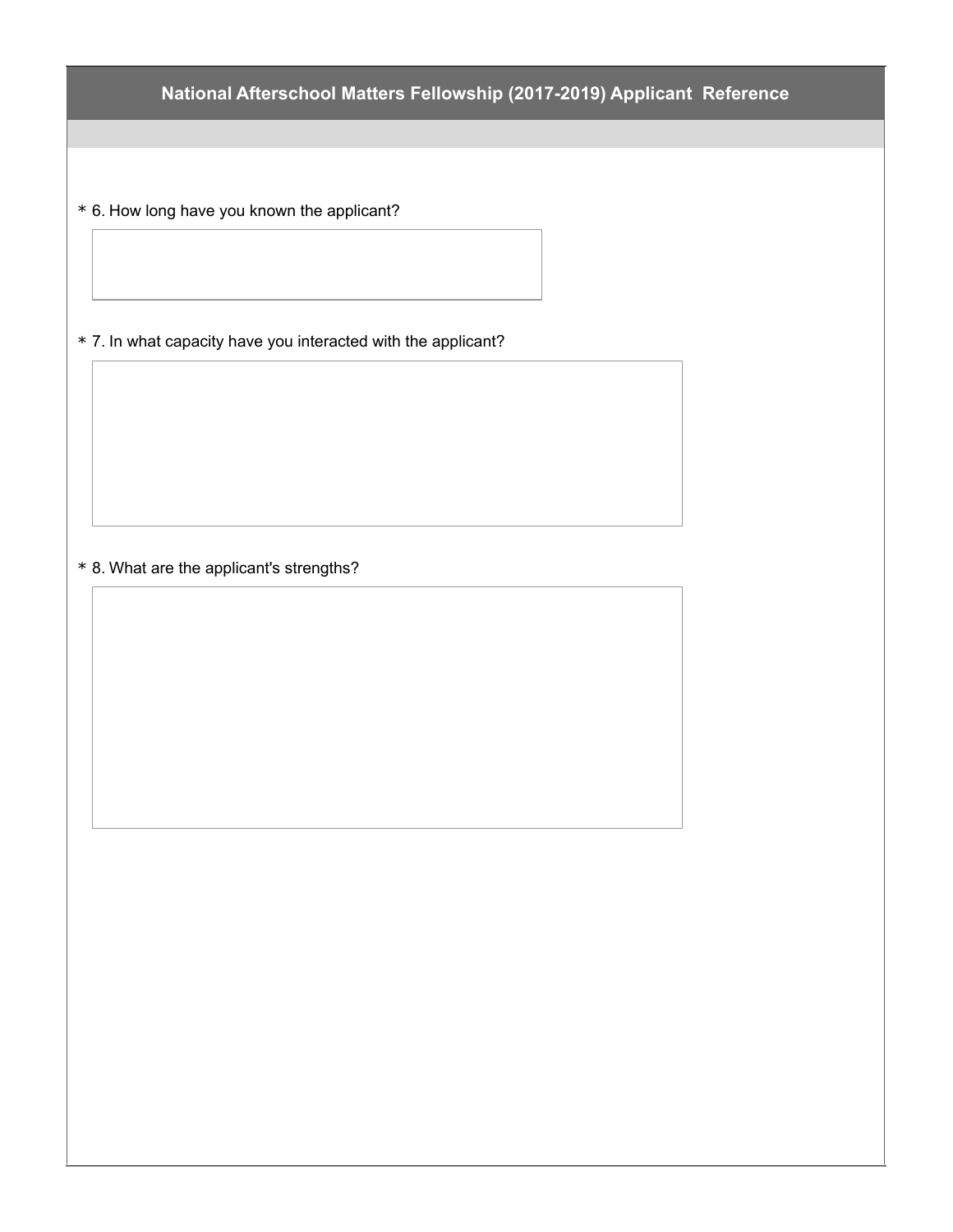**National Afterschool Matters Fellowship (2017-2019) Applicant Reference**

\* 6. How long have you known the applicant?

\* 7. In what capacity have you interacted with the applicant?

\* 8. What are the applicant's strengths?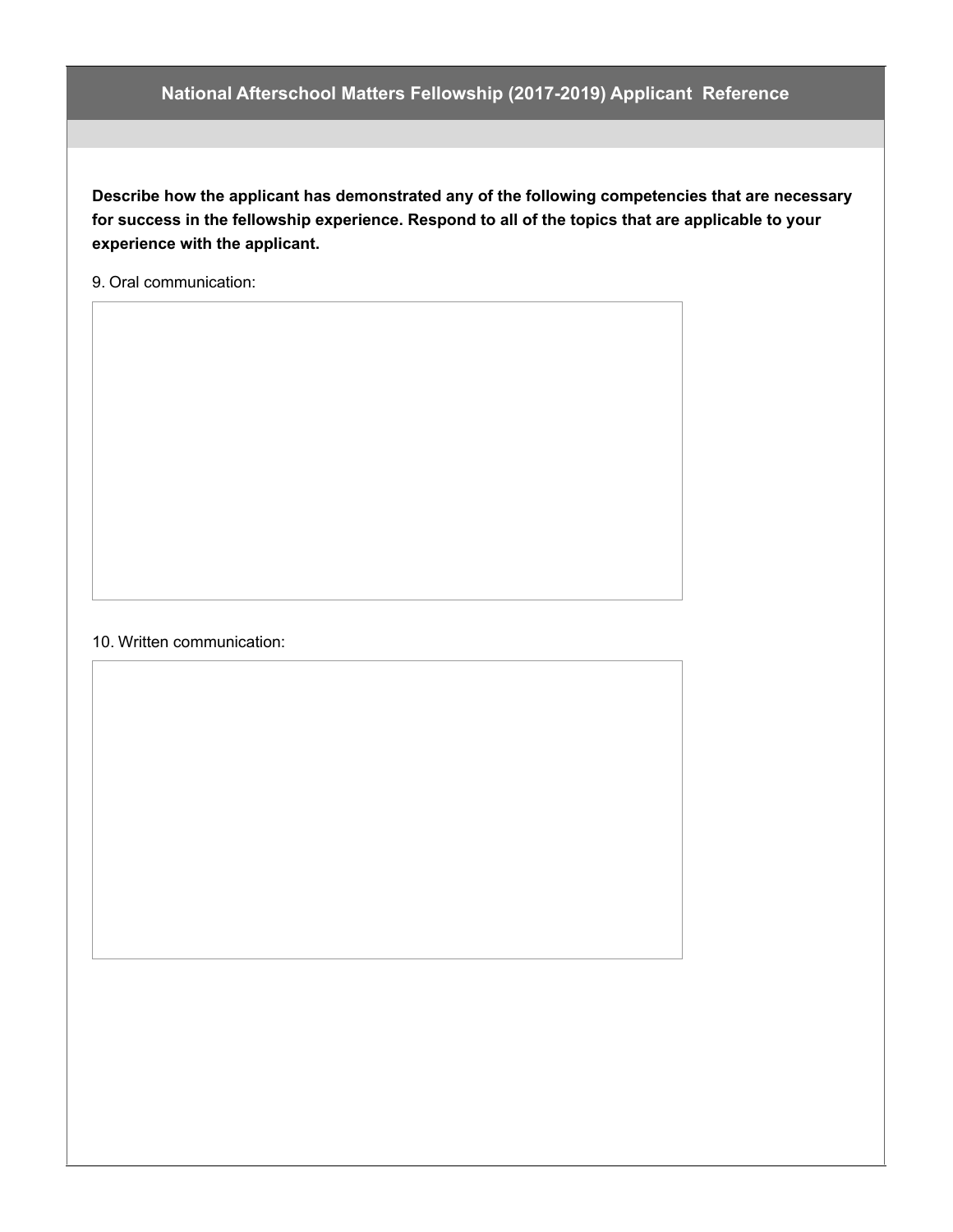## **National Afterschool Matters Fellowship (2017-2019) Applicant Reference**

**Describe how the applicant has demonstrated any of the following competencies that are necessary for success in the fellowship experience. Respond to all of the topics that are applicable to your experience with the applicant.**

9. Oral communication:

## 10. Written communication: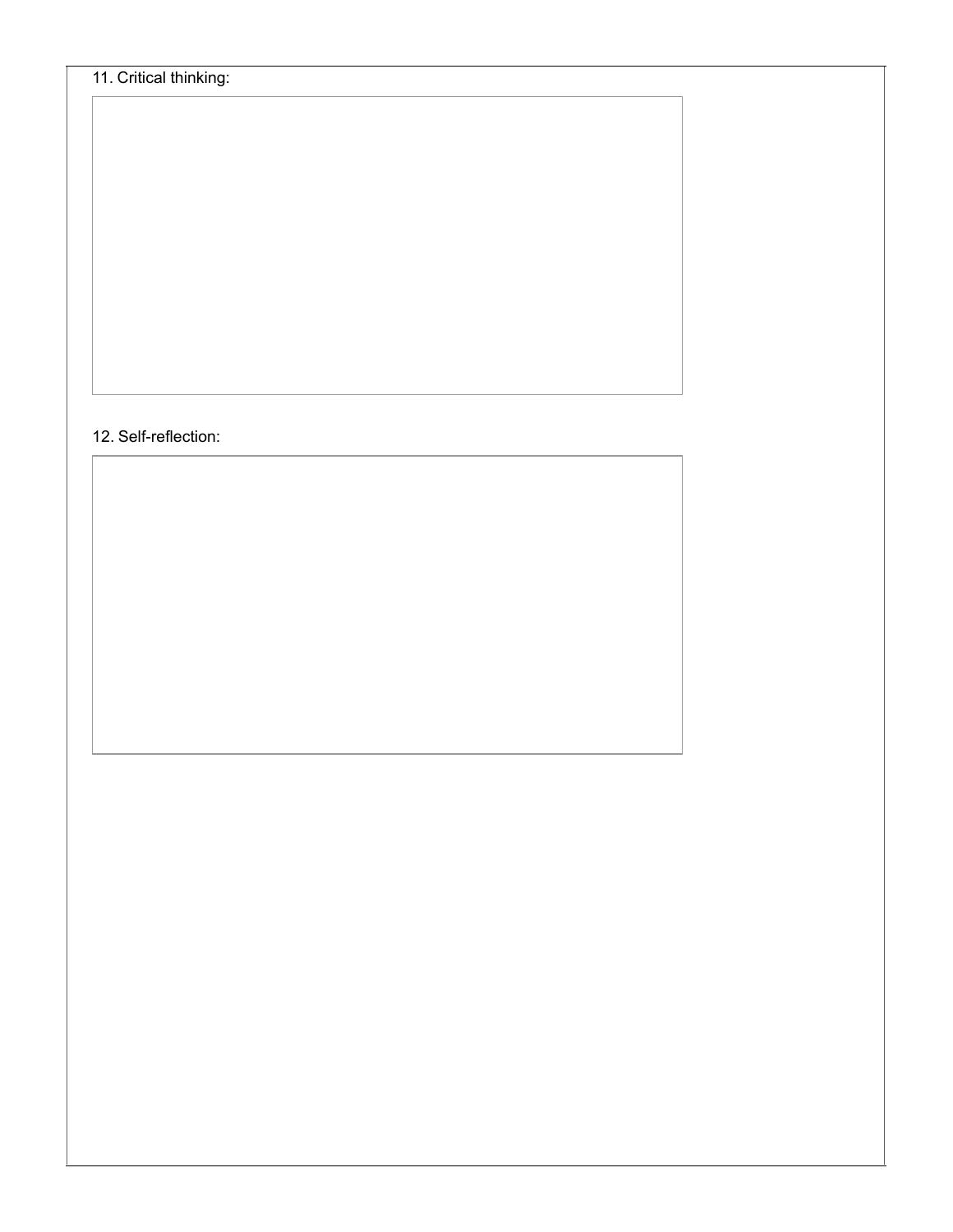## 12. Self-reflection: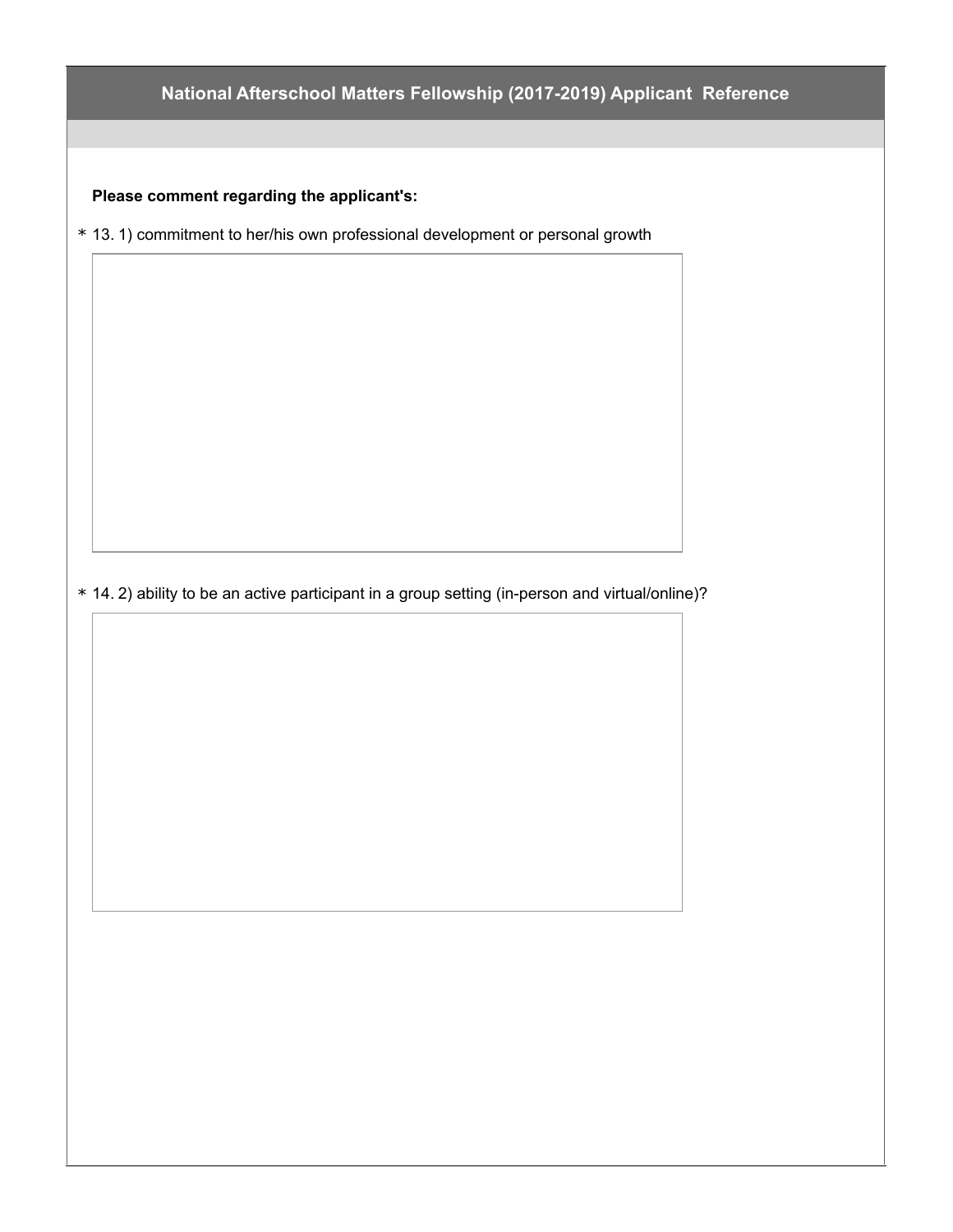## **National Afterschool Matters Fellowship (2017-2019) Applicant Reference**

**Please comment regarding the applicant's:**

\* 13. 1) commitment to her/his own professional development or personal growth

\* 14. 2) ability to be an active participant in a group setting (in-person and virtual/online)?